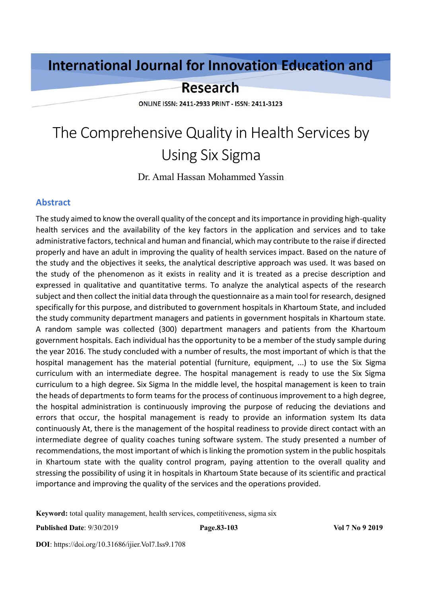# **International Journal for Innovation Education and**

# **Research**

ONLINE ISSN: 2411-2933 PRINT - ISSN: 2411-3123

# The Comprehensive Quality in Health Services by Using Six Sigma

Dr. Amal Hassan Mohammed Yassin

#### **Abstract**

The study aimed to know the overall quality of the concept and its importance in providing high-quality health services and the availability of the key factors in the application and services and to take administrative factors, technical and human and financial, which may contribute to the raise if directed properly and have an adult in improving the quality of health services impact. Based on the nature of the study and the objectives it seeks, the analytical descriptive approach was used. It was based on the study of the phenomenon as it exists in reality and it is treated as a precise description and expressed in qualitative and quantitative terms. To analyze the analytical aspects of the research subject and then collect the initial data through the questionnaire as a main tool for research, designed specifically for this purpose, and distributed to government hospitals in Khartoum State, and included the study community department managers and patients in government hospitals in Khartoum state. A random sample was collected (300) department managers and patients from the Khartoum government hospitals. Each individual has the opportunity to be a member of the study sample during the year 2016. The study concluded with a number of results, the most important of which is that the hospital management has the material potential (furniture, equipment, ...) to use the Six Sigma curriculum with an intermediate degree. The hospital management is ready to use the Six Sigma curriculum to a high degree. Six Sigma In the middle level, the hospital management is keen to train the heads of departments to form teams for the process of continuous improvement to a high degree, the hospital administration is continuously improving the purpose of reducing the deviations and errors that occur, the hospital management is ready to provide an information system Its data continuously At, there is the management of the hospital readiness to provide direct contact with an intermediate degree of quality coaches tuning software system. The study presented a number of recommendations, the most important of which is linking the promotion system in the public hospitals in Khartoum state with the quality control program, paying attention to the overall quality and stressing the possibility of using it in hospitals in Khartoum State because of its scientific and practical importance and improving the quality of the services and the operations provided.

**Keyword:** total quality management, health services, competitiveness, sigma six

**DOI**: https://doi.org/10.31686/ijier.Vol7.Iss9.1708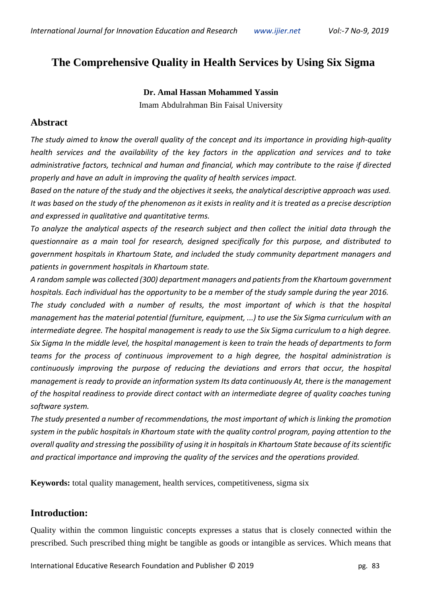# **The Comprehensive Quality in Health Services by Using Six Sigma**

**Dr. Amal Hassan Mohammed Yassin** Imam Abdulrahman Bin Faisal University

#### **Abstract**

*The study aimed to know the overall quality of the concept and its importance in providing high-quality health services and the availability of the key factors in the application and services and to take administrative factors, technical and human and financial, which may contribute to the raise if directed properly and have an adult in improving the quality of health services impact.*

*Based on the nature of the study and the objectives it seeks, the analytical descriptive approach was used. It was based on the study of the phenomenon as it exists in reality and it is treated as a precise description and expressed in qualitative and quantitative terms.*

*To analyze the analytical aspects of the research subject and then collect the initial data through the questionnaire as a main tool for research, designed specifically for this purpose, and distributed to government hospitals in Khartoum State, and included the study community department managers and patients in government hospitals in Khartoum state.*

*A random sample was collected (300) department managers and patients from the Khartoum government hospitals. Each individual has the opportunity to be a member of the study sample during the year 2016. The study concluded with a number of results, the most important of which is that the hospital management has the material potential (furniture, equipment, ...) to use the Six Sigma curriculum with an intermediate degree. The hospital management is ready to use the Six Sigma curriculum to a high degree. Six Sigma In the middle level, the hospital management is keen to train the heads of departments to form teams for the process of continuous improvement to a high degree, the hospital administration is continuously improving the purpose of reducing the deviations and errors that occur, the hospital management is ready to provide an information system Its data continuously At, there is the management of the hospital readiness to provide direct contact with an intermediate degree of quality coaches tuning software system.*

*The study presented a number of recommendations, the most important of which is linking the promotion system in the public hospitals in Khartoum state with the quality control program, paying attention to the overall quality and stressing the possibility of using it in hospitals in Khartoum State because of its scientific and practical importance and improving the quality of the services and the operations provided.*

**Keywords:** total quality management, health services, competitiveness, sigma six

# **Introduction:**

Quality within the common linguistic concepts expresses a status that is closely connected within the prescribed. Such prescribed thing might be tangible as goods or intangible as services. Which means that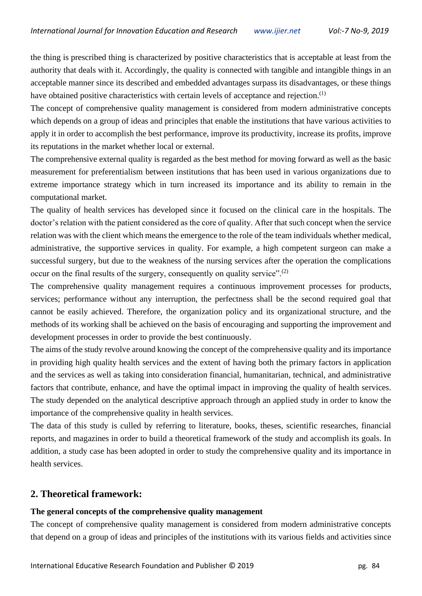the thing is prescribed thing is characterized by positive characteristics that is acceptable at least from the authority that deals with it. Accordingly, the quality is connected with tangible and intangible things in an acceptable manner since its described and embedded advantages surpass its disadvantages, or these things have obtained positive characteristics with certain levels of acceptance and rejection.<sup>(1)</sup>

The concept of comprehensive quality management is considered from modern administrative concepts which depends on a group of ideas and principles that enable the institutions that have various activities to apply it in order to accomplish the best performance, improve its productivity, increase its profits, improve its reputations in the market whether local or external.

The comprehensive external quality is regarded as the best method for moving forward as well as the basic measurement for preferentialism between institutions that has been used in various organizations due to extreme importance strategy which in turn increased its importance and its ability to remain in the computational market.

The quality of health services has developed since it focused on the clinical care in the hospitals. The doctor's relation with the patient considered as the core of quality. After that such concept when the service relation was with the client which means the emergence to the role of the team individuals whether medical, administrative, the supportive services in quality. For example, a high competent surgeon can make a successful surgery, but due to the weakness of the nursing services after the operation the complications occur on the final results of the surgery, consequently on quality service".<sup>(2)</sup>

The comprehensive quality management requires a continuous improvement processes for products, services; performance without any interruption, the perfectness shall be the second required goal that cannot be easily achieved. Therefore, the organization policy and its organizational structure, and the methods of its working shall be achieved on the basis of encouraging and supporting the improvement and development processes in order to provide the best continuously.

The aims of the study revolve around knowing the concept of the comprehensive quality and its importance in providing high quality health services and the extent of having both the primary factors in application and the services as well as taking into consideration financial, humanitarian, technical, and administrative factors that contribute, enhance, and have the optimal impact in improving the quality of health services. The study depended on the analytical descriptive approach through an applied study in order to know the importance of the comprehensive quality in health services.

The data of this study is culled by referring to literature, books, theses, scientific researches, financial reports, and magazines in order to build a theoretical framework of the study and accomplish its goals. In addition, a study case has been adopted in order to study the comprehensive quality and its importance in health services.

## **2. Theoretical framework:**

#### **The general concepts of the comprehensive quality management**

The concept of comprehensive quality management is considered from modern administrative concepts that depend on a group of ideas and principles of the institutions with its various fields and activities since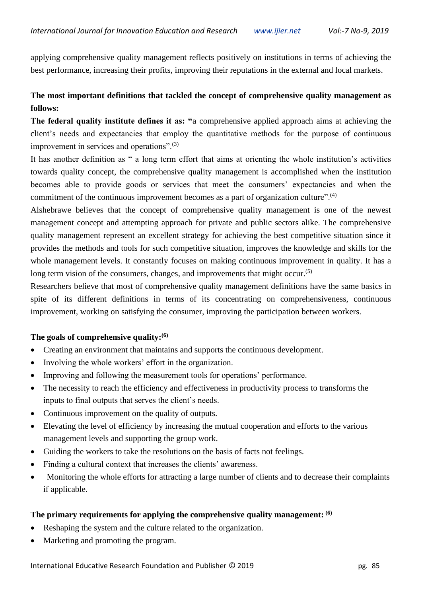applying comprehensive quality management reflects positively on institutions in terms of achieving the best performance, increasing their profits, improving their reputations in the external and local markets.

## **The most important definitions that tackled the concept of comprehensive quality management as follows:**

**The federal quality institute defines it as: "**a comprehensive applied approach aims at achieving the client's needs and expectancies that employ the quantitative methods for the purpose of continuous improvement in services and operations".<sup>(3)</sup>

It has another definition as " a long term effort that aims at orienting the whole institution's activities towards quality concept, the comprehensive quality management is accomplished when the institution becomes able to provide goods or services that meet the consumers' expectancies and when the commitment of the continuous improvement becomes as a part of organization culture".<sup>(4)</sup>

Alshebrawe believes that the concept of comprehensive quality management is one of the newest management concept and attempting approach for private and public sectors alike. The comprehensive quality management represent an excellent strategy for achieving the best competitive situation since it provides the methods and tools for such competitive situation, improves the knowledge and skills for the whole management levels. It constantly focuses on making continuous improvement in quality. It has a long term vision of the consumers, changes, and improvements that might occur.<sup>(5)</sup>

Researchers believe that most of comprehensive quality management definitions have the same basics in spite of its different definitions in terms of its concentrating on comprehensiveness, continuous improvement, working on satisfying the consumer, improving the participation between workers.

#### **The goals of comprehensive quality:(6)**

- Creating an environment that maintains and supports the continuous development.
- Involving the whole workers' effort in the organization.
- Improving and following the measurement tools for operations' performance.
- The necessity to reach the efficiency and effectiveness in productivity process to transforms the inputs to final outputs that serves the client's needs.
- Continuous improvement on the quality of outputs.
- Elevating the level of efficiency by increasing the mutual cooperation and efforts to the various management levels and supporting the group work.
- Guiding the workers to take the resolutions on the basis of facts not feelings.
- Finding a cultural context that increases the clients' awareness.
- Monitoring the whole efforts for attracting a large number of clients and to decrease their complaints if applicable.

#### **The primary requirements for applying the comprehensive quality management: (6)**

- Reshaping the system and the culture related to the organization.
- Marketing and promoting the program.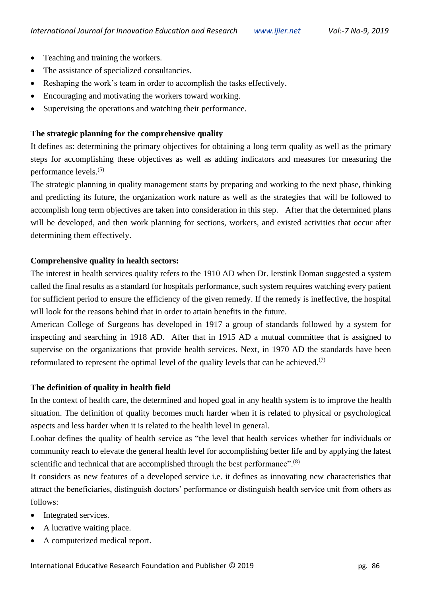- Teaching and training the workers.
- The assistance of specialized consultancies.
- Reshaping the work's team in order to accomplish the tasks effectively.
- Encouraging and motivating the workers toward working.
- Supervising the operations and watching their performance.

## **The strategic planning for the comprehensive quality**

It defines as: determining the primary objectives for obtaining a long term quality as well as the primary steps for accomplishing these objectives as well as adding indicators and measures for measuring the performance levels.(5)

The strategic planning in quality management starts by preparing and working to the next phase, thinking and predicting its future, the organization work nature as well as the strategies that will be followed to accomplish long term objectives are taken into consideration in this step. After that the determined plans will be developed, and then work planning for sections, workers, and existed activities that occur after determining them effectively.

#### **Comprehensive quality in health sectors:**

The interest in health services quality refers to the 1910 AD when Dr. Ierstink Doman suggested a system called the final results as a standard for hospitals performance, such system requires watching every patient for sufficient period to ensure the efficiency of the given remedy. If the remedy is ineffective, the hospital will look for the reasons behind that in order to attain benefits in the future.

American College of Surgeons has developed in 1917 a group of standards followed by a system for inspecting and searching in 1918 AD. After that in 1915 AD a mutual committee that is assigned to supervise on the organizations that provide health services. Next, in 1970 AD the standards have been reformulated to represent the optimal level of the quality levels that can be achieved.<sup>(7)</sup>

#### **The definition of quality in health field**

In the context of health care, the determined and hoped goal in any health system is to improve the health situation. The definition of quality becomes much harder when it is related to physical or psychological aspects and less harder when it is related to the health level in general.

Loohar defines the quality of health service as "the level that health services whether for individuals or community reach to elevate the general health level for accomplishing better life and by applying the latest scientific and technical that are accomplished through the best performance".<sup>(8)</sup>

It considers as new features of a developed service i.e. it defines as innovating new characteristics that attract the beneficiaries, distinguish doctors' performance or distinguish health service unit from others as follows:

- Integrated services.
- A lucrative waiting place.
- A computerized medical report.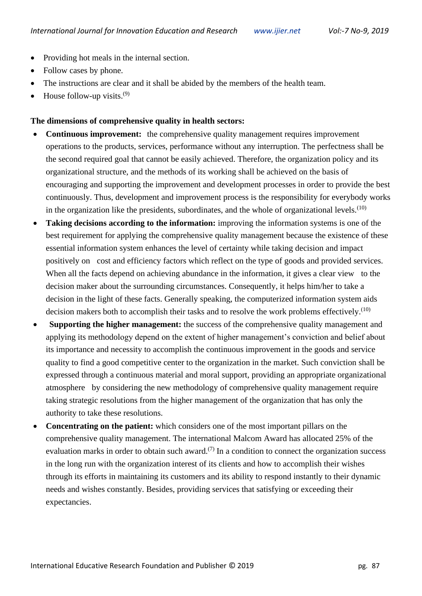- Providing hot meals in the internal section.
- Follow cases by phone.
- The instructions are clear and it shall be abided by the members of the health team.
- House follow-up visits. $(9)$

#### **The dimensions of comprehensive quality in health sectors:**

- **Continuous improvement:** the comprehensive quality management requires improvement operations to the products, services, performance without any interruption. The perfectness shall be the second required goal that cannot be easily achieved. Therefore, the organization policy and its organizational structure, and the methods of its working shall be achieved on the basis of encouraging and supporting the improvement and development processes in order to provide the best continuously. Thus, development and improvement process is the responsibility for everybody works in the organization like the presidents, subordinates, and the whole of organizational levels. $(10)$
- **Taking decisions according to the information:** improving the information systems is one of the best requirement for applying the comprehensive quality management because the existence of these essential information system enhances the level of certainty while taking decision and impact positively on cost and efficiency factors which reflect on the type of goods and provided services. When all the facts depend on achieving abundance in the information, it gives a clear view to the decision maker about the surrounding circumstances. Consequently, it helps him/her to take a decision in the light of these facts. Generally speaking, the computerized information system aids decision makers both to accomplish their tasks and to resolve the work problems effectively.<sup> $(10)$ </sup>
- **Supporting the higher management:** the success of the comprehensive quality management and applying its methodology depend on the extent of higher management's conviction and belief about its importance and necessity to accomplish the continuous improvement in the goods and service quality to find a good competitive center to the organization in the market. Such conviction shall be expressed through a continuous material and moral support, providing an appropriate organizational atmosphere by considering the new methodology of comprehensive quality management require taking strategic resolutions from the higher management of the organization that has only the authority to take these resolutions.
- **Concentrating on the patient:** which considers one of the most important pillars on the comprehensive quality management. The international Malcom Award has allocated 25% of the evaluation marks in order to obtain such award.<sup>(7)</sup> In a condition to connect the organization success in the long run with the organization interest of its clients and how to accomplish their wishes through its efforts in maintaining its customers and its ability to respond instantly to their dynamic needs and wishes constantly. Besides, providing services that satisfying or exceeding their expectancies.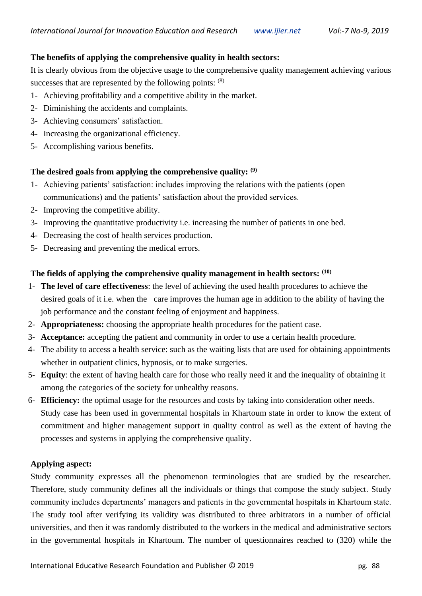#### **The benefits of applying the comprehensive quality in health sectors:**

It is clearly obvious from the objective usage to the comprehensive quality management achieving various successes that are represented by the following points:  $(8)$ 

- 1- Achieving profitability and a competitive ability in the market.
- 2- Diminishing the accidents and complaints.
- 3- Achieving consumers' satisfaction.
- 4- Increasing the organizational efficiency.
- 5- Accomplishing various benefits.

#### **The desired goals from applying the comprehensive quality: (9)**

- 1- Achieving patients' satisfaction: includes improving the relations with the patients (open communications) and the patients' satisfaction about the provided services.
- 2- Improving the competitive ability.
- 3- Improving the quantitative productivity i.e. increasing the number of patients in one bed.
- 4- Decreasing the cost of health services production.
- 5- Decreasing and preventing the medical errors.

#### **The fields of applying the comprehensive quality management in health sectors: (10)**

- 1- **The level of care effectiveness**: the level of achieving the used health procedures to achieve the desired goals of it i.e. when the care improves the human age in addition to the ability of having the job performance and the constant feeling of enjoyment and happiness.
- 2- **Appropriateness:** choosing the appropriate health procedures for the patient case.
- 3- **Acceptance:** accepting the patient and community in order to use a certain health procedure.
- 4- The ability to access a health service: such as the waiting lists that are used for obtaining appointments whether in outpatient clinics, hypnosis, or to make surgeries.
- 5- **Equity**: the extent of having health care for those who really need it and the inequality of obtaining it among the categories of the society for unhealthy reasons.
- 6- **Efficiency:** the optimal usage for the resources and costs by taking into consideration other needs. Study case has been used in governmental hospitals in Khartoum state in order to know the extent of commitment and higher management support in quality control as well as the extent of having the processes and systems in applying the comprehensive quality.

#### **Applying aspect:**

Study community expresses all the phenomenon terminologies that are studied by the researcher. Therefore, study community defines all the individuals or things that compose the study subject. Study community includes departments' managers and patients in the governmental hospitals in Khartoum state. The study tool after verifying its validity was distributed to three arbitrators in a number of official universities, and then it was randomly distributed to the workers in the medical and administrative sectors in the governmental hospitals in Khartoum. The number of questionnaires reached to (320) while the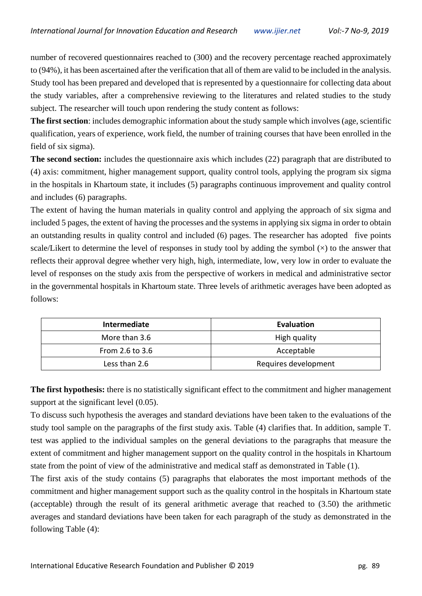number of recovered questionnaires reached to (300) and the recovery percentage reached approximately to (94%), it has been ascertained after the verification that all of them are valid to be included in the analysis. Study tool has been prepared and developed that is represented by a questionnaire for collecting data about the study variables, after a comprehensive reviewing to the literatures and related studies to the study subject. The researcher will touch upon rendering the study content as follows:

**The first section**: includes demographic information about the study sample which involves (age, scientific qualification, years of experience, work field, the number of training courses that have been enrolled in the field of six sigma).

**The second section:** includes the questionnaire axis which includes (22) paragraph that are distributed to (4) axis: commitment, higher management support, quality control tools, applying the program six sigma in the hospitals in Khartoum state, it includes (5) paragraphs continuous improvement and quality control and includes (6) paragraphs.

The extent of having the human materials in quality control and applying the approach of six sigma and included 5 pages, the extent of having the processes and the systems in applying six sigma in order to obtain an outstanding results in quality control and included (6) pages. The researcher has adopted five points scale/Likert to determine the level of responses in study tool by adding the symbol  $(x)$  to the answer that reflects their approval degree whether very high, high, intermediate, low, very low in order to evaluate the level of responses on the study axis from the perspective of workers in medical and administrative sector in the governmental hospitals in Khartoum state. Three levels of arithmetic averages have been adopted as follows:

| Intermediate    | Evaluation           |  |  |
|-----------------|----------------------|--|--|
| More than 3.6   | High quality         |  |  |
| From 2.6 to 3.6 | Acceptable           |  |  |
| Less than 2.6   | Requires development |  |  |

**The first hypothesis:** there is no statistically significant effect to the commitment and higher management support at the significant level  $(0.05)$ .

To discuss such hypothesis the averages and standard deviations have been taken to the evaluations of the study tool sample on the paragraphs of the first study axis. Table (4) clarifies that. In addition, sample T. test was applied to the individual samples on the general deviations to the paragraphs that measure the extent of commitment and higher management support on the quality control in the hospitals in Khartoum state from the point of view of the administrative and medical staff as demonstrated in Table (1).

The first axis of the study contains (5) paragraphs that elaborates the most important methods of the commitment and higher management support such as the quality control in the hospitals in Khartoum state (acceptable) through the result of its general arithmetic average that reached to (3.50) the arithmetic averages and standard deviations have been taken for each paragraph of the study as demonstrated in the following Table (4):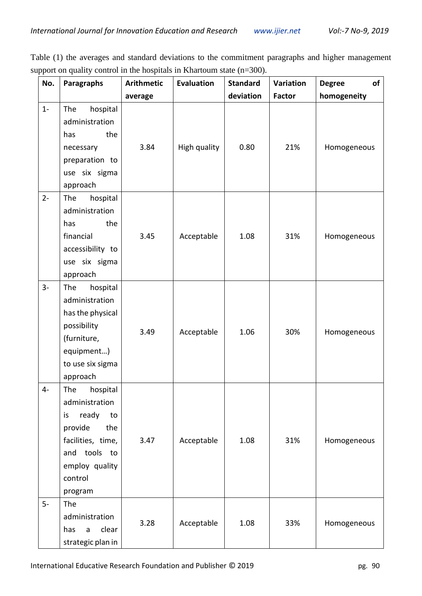Table (1) the averages and standard deviations to the commitment paragraphs and higher management support on quality control in the hospitals in Khartoum state (n=300).

| No.   | <b>Paragraphs</b>                                                                                                                                     | <b>Arithmetic</b> | <b>Evaluation</b> | <b>Standard</b> | Variation     | of<br><b>Degree</b> |
|-------|-------------------------------------------------------------------------------------------------------------------------------------------------------|-------------------|-------------------|-----------------|---------------|---------------------|
|       |                                                                                                                                                       | average           |                   | deviation       | <b>Factor</b> | homogeneity         |
| $1 -$ | hospital<br>The<br>administration<br>the<br>has<br>necessary<br>preparation to<br>use six sigma                                                       | 3.84              | High quality      | 0.80            | 21%           | Homogeneous         |
| $2 -$ | approach<br>hospital<br>The<br>administration<br>the<br>has<br>financial<br>accessibility to<br>use six sigma<br>approach                             | 3.45              | Acceptable        | 1.08            | 31%           | Homogeneous         |
| $3-$  | hospital<br>The<br>administration<br>has the physical<br>possibility<br>(furniture,<br>equipment)<br>to use six sigma<br>approach                     | 3.49              | Acceptable        | 1.06            | 30%           | Homogeneous         |
| $4-$  | The<br>hospital<br>administration<br>ready<br>is<br>to<br>provide<br>the<br>facilities, time,<br>and tools to<br>employ quality<br>control<br>program | 3.47              | Acceptable        | 1.08            | 31%           | Homogeneous         |
| $5-$  | The<br>administration<br>clear<br>has<br>$\mathsf{a}$<br>strategic plan in                                                                            | 3.28              | Acceptable        | 1.08            | 33%           | Homogeneous         |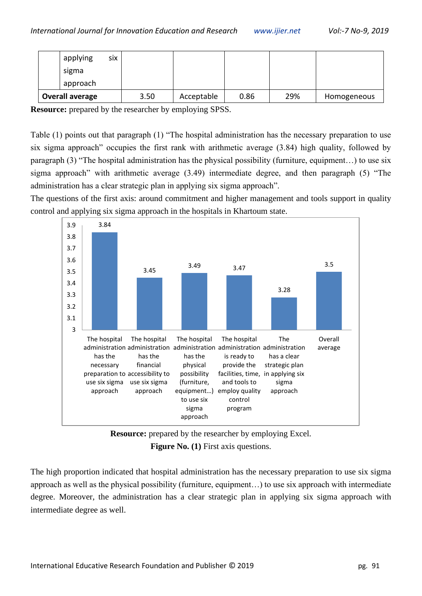| applying               | <b>SİX</b> |      |            |      |     |             |
|------------------------|------------|------|------------|------|-----|-------------|
| sigma                  |            |      |            |      |     |             |
| approach               |            |      |            |      |     |             |
| <b>Overall average</b> |            | 3.50 | Acceptable | 0.86 | 29% | Homogeneous |

**Resource:** prepared by the researcher by employing SPSS.

Table (1) points out that paragraph (1) "The hospital administration has the necessary preparation to use six sigma approach" occupies the first rank with arithmetic average (3.84) high quality, followed by paragraph (3) "The hospital administration has the physical possibility (furniture, equipment…) to use six sigma approach" with arithmetic average (3.49) intermediate degree, and then paragraph (5) "The administration has a clear strategic plan in applying six sigma approach".

The questions of the first axis: around commitment and higher management and tools support in quality control and applying six sigma approach in the hospitals in Khartoum state.





The high proportion indicated that hospital administration has the necessary preparation to use six sigma approach as well as the physical possibility (furniture, equipment…) to use six approach with intermediate degree. Moreover, the administration has a clear strategic plan in applying six sigma approach with intermediate degree as well.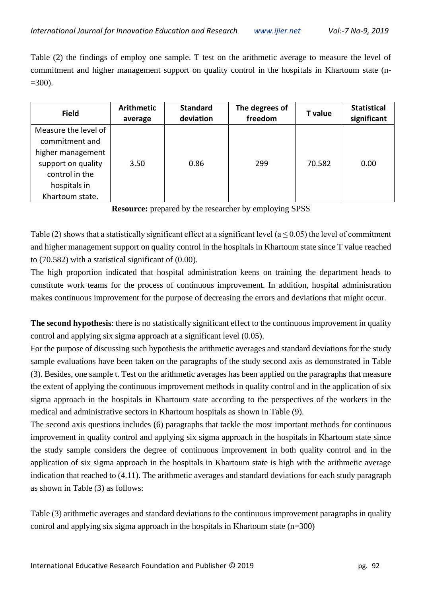Table (2) the findings of employ one sample. T test on the arithmetic average to measure the level of commitment and higher management support on quality control in the hospitals in Khartoum state (n-  $=300$ ).

| <b>Field</b>                           | <b>Arithmetic</b><br>average | <b>Standard</b><br>deviation | The degrees of<br>freedom | T value | <b>Statistical</b><br>significant |
|----------------------------------------|------------------------------|------------------------------|---------------------------|---------|-----------------------------------|
| Measure the level of<br>commitment and |                              |                              |                           |         |                                   |
| higher management                      |                              |                              |                           |         |                                   |
| support on quality<br>control in the   | 3.50                         | 0.86                         | 299                       | 70.582  | 0.00                              |
| hospitals in                           |                              |                              |                           |         |                                   |
| Khartoum state.                        |                              |                              |                           |         |                                   |

**Resource:** prepared by the researcher by employing SPSS

Table (2) shows that a statistically significant effect at a significant level ( $a \le 0.05$ ) the level of commitment and higher management support on quality control in the hospitals in Khartoum state since T value reached to (70.582) with a statistical significant of (0.00).

The high proportion indicated that hospital administration keens on training the department heads to constitute work teams for the process of continuous improvement. In addition, hospital administration makes continuous improvement for the purpose of decreasing the errors and deviations that might occur.

**The second hypothesis**: there is no statistically significant effect to the continuous improvement in quality control and applying six sigma approach at a significant level (0.05).

For the purpose of discussing such hypothesis the arithmetic averages and standard deviations for the study sample evaluations have been taken on the paragraphs of the study second axis as demonstrated in Table (3). Besides, one sample t. Test on the arithmetic averages has been applied on the paragraphs that measure the extent of applying the continuous improvement methods in quality control and in the application of six sigma approach in the hospitals in Khartoum state according to the perspectives of the workers in the medical and administrative sectors in Khartoum hospitals as shown in Table (9).

The second axis questions includes (6) paragraphs that tackle the most important methods for continuous improvement in quality control and applying six sigma approach in the hospitals in Khartoum state since the study sample considers the degree of continuous improvement in both quality control and in the application of six sigma approach in the hospitals in Khartoum state is high with the arithmetic average indication that reached to (4.11). The arithmetic averages and standard deviations for each study paragraph as shown in Table (3) as follows:

Table (3) arithmetic averages and standard deviations to the continuous improvement paragraphs in quality control and applying six sigma approach in the hospitals in Khartoum state (n=300)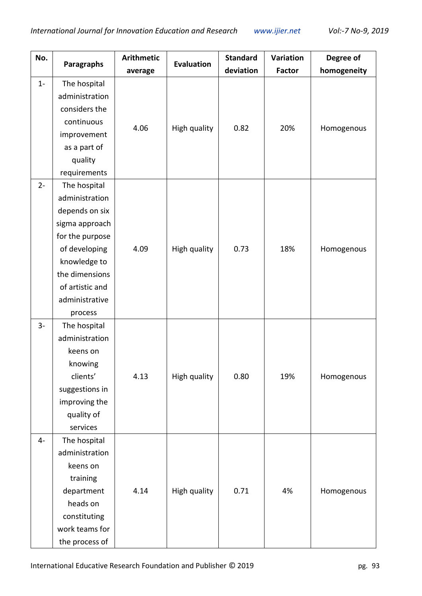| No.   |                   | <b>Arithmetic</b> | <b>Evaluation</b> | <b>Standard</b> | Variation     | Degree of   |
|-------|-------------------|-------------------|-------------------|-----------------|---------------|-------------|
|       | <b>Paragraphs</b> | average           |                   | deviation       | <b>Factor</b> | homogeneity |
| $1 -$ | The hospital      |                   |                   |                 |               |             |
|       | administration    |                   |                   |                 |               |             |
|       | considers the     |                   |                   |                 |               |             |
|       | continuous        | 4.06              | High quality      | 0.82            | 20%           | Homogenous  |
|       | improvement       |                   |                   |                 |               |             |
|       | as a part of      |                   |                   |                 |               |             |
|       | quality           |                   |                   |                 |               |             |
|       | requirements      |                   |                   |                 |               |             |
| $2 -$ | The hospital      |                   |                   |                 |               |             |
|       | administration    |                   |                   |                 |               |             |
|       | depends on six    |                   |                   |                 |               |             |
|       | sigma approach    |                   |                   |                 |               |             |
|       | for the purpose   |                   |                   |                 |               |             |
|       | of developing     | 4.09              | High quality      | 0.73            | 18%           | Homogenous  |
|       | knowledge to      |                   |                   |                 |               |             |
|       | the dimensions    |                   |                   |                 |               |             |
|       | of artistic and   |                   |                   |                 |               |             |
|       | administrative    |                   |                   |                 |               |             |
|       | process           |                   |                   |                 |               |             |
| $3-$  | The hospital      |                   |                   |                 |               |             |
|       | administration    |                   |                   |                 |               |             |
|       | keens on          |                   |                   |                 |               |             |
|       | knowing           |                   |                   |                 |               |             |
|       | clients'          | 4.13              | High quality      | 0.80            | 19%           | Homogenous  |
|       | suggestions in    |                   |                   |                 |               |             |
|       | improving the     |                   |                   |                 |               |             |
|       | quality of        |                   |                   |                 |               |             |
|       | services          |                   |                   |                 |               |             |
| $4-$  | The hospital      |                   |                   |                 |               |             |
|       | administration    |                   |                   |                 |               |             |
|       | keens on          |                   |                   |                 |               |             |
|       | training          |                   |                   |                 |               |             |
|       | department        | 4.14              | High quality      | 0.71            | 4%            | Homogenous  |
|       | heads on          |                   |                   |                 |               |             |
|       | constituting      |                   |                   |                 |               |             |
|       | work teams for    |                   |                   |                 |               |             |
|       | the process of    |                   |                   |                 |               |             |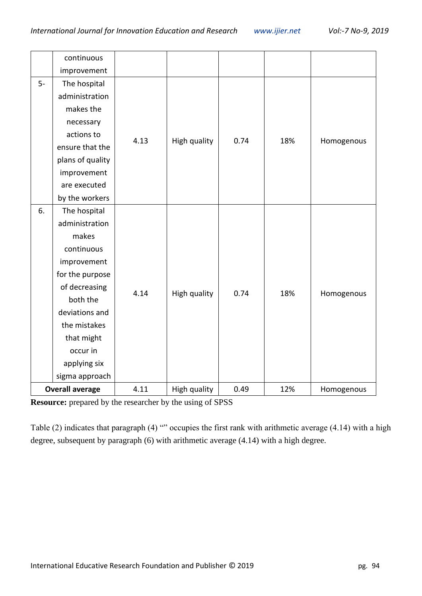|      | continuous             |      |              |      |     |            |
|------|------------------------|------|--------------|------|-----|------------|
|      | improvement            |      |              |      |     |            |
| $5-$ | The hospital           |      |              |      |     |            |
|      | administration         |      |              |      |     |            |
|      | makes the              |      |              |      |     |            |
|      | necessary              |      |              |      |     |            |
|      | actions to             | 4.13 | High quality | 0.74 | 18% | Homogenous |
|      | ensure that the        |      |              |      |     |            |
|      | plans of quality       |      |              |      |     |            |
|      | improvement            |      |              |      |     |            |
|      | are executed           |      |              |      |     |            |
|      | by the workers         |      |              |      |     |            |
| 6.   | The hospital           |      |              |      |     |            |
|      | administration         |      |              |      |     |            |
|      | makes                  |      |              |      |     |            |
|      | continuous             |      |              |      |     |            |
|      | improvement            |      |              |      |     |            |
|      | for the purpose        |      |              |      |     |            |
|      | of decreasing          | 4.14 | High quality | 0.74 | 18% | Homogenous |
|      | both the               |      |              |      |     |            |
|      | deviations and         |      |              |      |     |            |
|      | the mistakes           |      |              |      |     |            |
|      | that might             |      |              |      |     |            |
|      | occur in               |      |              |      |     |            |
|      | applying six           |      |              |      |     |            |
|      | sigma approach         |      |              |      |     |            |
|      | <b>Overall average</b> | 4.11 | High quality | 0.49 | 12% | Homogenous |

**Resource:** prepared by the researcher by the using of SPSS

Table (2) indicates that paragraph (4) "" occupies the first rank with arithmetic average (4.14) with a high degree, subsequent by paragraph (6) with arithmetic average (4.14) with a high degree.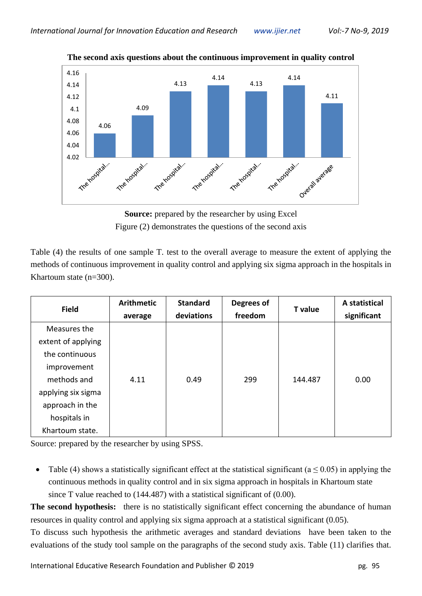

**The second axis questions about the continuous improvement in quality control**

**Source:** prepared by the researcher by using Excel Figure (2) demonstrates the questions of the second axis

Table (4) the results of one sample T. test to the overall average to measure the extent of applying the methods of continuous improvement in quality control and applying six sigma approach in the hospitals in Khartoum state (n=300).

| <b>Field</b>       | <b>Arithmetic</b><br>average | <b>Standard</b><br>deviations | Degrees of<br>freedom | <b>T</b> value | A statistical<br>significant |
|--------------------|------------------------------|-------------------------------|-----------------------|----------------|------------------------------|
| Measures the       |                              |                               |                       |                |                              |
| extent of applying |                              |                               |                       |                |                              |
| the continuous     |                              |                               |                       |                |                              |
| improvement        |                              |                               |                       |                |                              |
| methods and        | 4.11                         | 0.49                          | 299                   | 144.487        | 0.00                         |
| applying six sigma |                              |                               |                       |                |                              |
| approach in the    |                              |                               |                       |                |                              |
| hospitals in       |                              |                               |                       |                |                              |
| Khartoum state.    |                              |                               |                       |                |                              |

Source: prepared by the researcher by using SPSS.

• Table (4) shows a statistically significant effect at the statistical significant ( $a \le 0.05$ ) in applying the continuous methods in quality control and in six sigma approach in hospitals in Khartoum state since T value reached to (144.487) with a statistical significant of (0.00).

**The second hypothesis:** there is no statistically significant effect concerning the abundance of human resources in quality control and applying six sigma approach at a statistical significant (0.05).

To discuss such hypothesis the arithmetic averages and standard deviations have been taken to the evaluations of the study tool sample on the paragraphs of the second study axis. Table (11) clarifies that.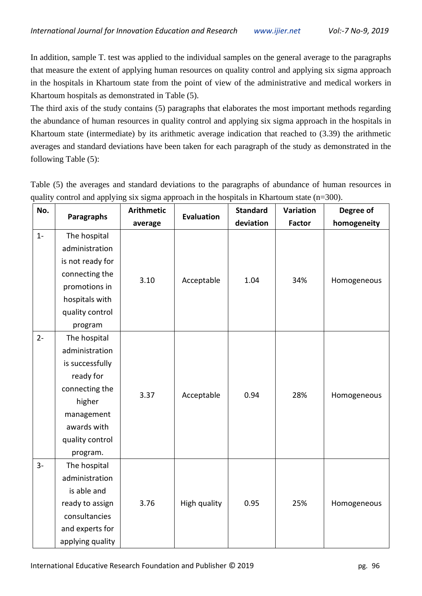In addition, sample T. test was applied to the individual samples on the general average to the paragraphs that measure the extent of applying human resources on quality control and applying six sigma approach in the hospitals in Khartoum state from the point of view of the administrative and medical workers in Khartoum hospitals as demonstrated in Table (5).

The third axis of the study contains (5) paragraphs that elaborates the most important methods regarding the abundance of human resources in quality control and applying six sigma approach in the hospitals in Khartoum state (intermediate) by its arithmetic average indication that reached to (3.39) the arithmetic averages and standard deviations have been taken for each paragraph of the study as demonstrated in the following Table (5):

| No.   |                  | <b>Arithmetic</b> |                   | <b>Standard</b> | Variation     | Degree of   |
|-------|------------------|-------------------|-------------------|-----------------|---------------|-------------|
|       | Paragraphs       | average           | <b>Evaluation</b> | deviation       | <b>Factor</b> | homogeneity |
| $1 -$ | The hospital     |                   |                   |                 |               |             |
|       | administration   |                   |                   |                 |               |             |
|       | is not ready for |                   |                   |                 |               |             |
|       | connecting the   | 3.10              | Acceptable        | 1.04            | 34%           | Homogeneous |
|       | promotions in    |                   |                   |                 |               |             |
|       | hospitals with   |                   |                   |                 |               |             |
|       | quality control  |                   |                   |                 |               |             |
|       | program          |                   |                   |                 |               |             |
| $2 -$ | The hospital     |                   |                   |                 |               |             |
|       | administration   |                   |                   |                 |               |             |
|       | is successfully  |                   |                   |                 |               |             |
|       | ready for        |                   |                   |                 |               |             |
|       | connecting the   | 3.37              | Acceptable        | 0.94            | 28%           |             |
|       | higher           |                   |                   |                 |               | Homogeneous |
|       | management       |                   |                   |                 |               |             |
|       | awards with      |                   |                   |                 |               |             |
|       | quality control  |                   |                   |                 |               |             |
|       | program.         |                   |                   |                 |               |             |
| $3-$  | The hospital     |                   |                   |                 |               |             |
|       | administration   |                   |                   |                 |               |             |
|       | is able and      |                   |                   |                 |               |             |
|       | ready to assign  | 3.76              | High quality      | 0.95            | 25%           | Homogeneous |
|       | consultancies    |                   |                   |                 |               |             |
|       | and experts for  |                   |                   |                 |               |             |
|       | applying quality |                   |                   |                 |               |             |

Table (5) the averages and standard deviations to the paragraphs of abundance of human resources in quality control and applying six sigma approach in the hospitals in Khartoum state (n=300).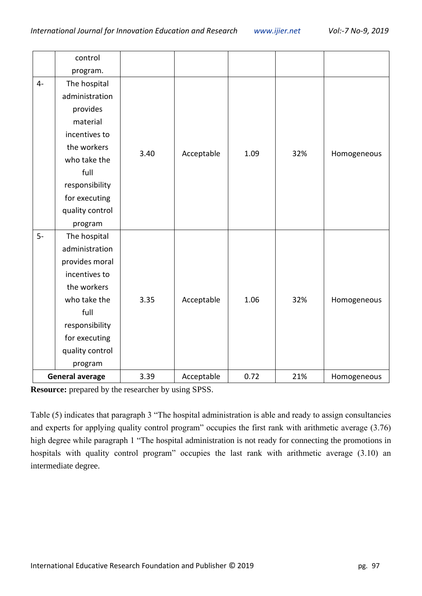|      | control                |      |            |      |     |             |
|------|------------------------|------|------------|------|-----|-------------|
|      | program.               |      |            |      |     |             |
| $4-$ | The hospital           |      |            |      |     |             |
|      | administration         |      |            |      |     |             |
|      | provides               |      |            |      |     |             |
|      | material               |      |            |      |     |             |
|      | incentives to          |      |            |      |     |             |
|      | the workers            | 3.40 | Acceptable | 1.09 | 32% | Homogeneous |
|      | who take the           |      |            |      |     |             |
|      | full                   |      |            |      |     |             |
|      | responsibility         |      |            |      |     |             |
|      | for executing          |      |            |      |     |             |
|      | quality control        |      |            |      |     |             |
|      | program                |      |            |      |     |             |
| $5-$ | The hospital           |      |            |      |     |             |
|      | administration         |      |            |      |     |             |
|      | provides moral         |      |            |      |     |             |
|      | incentives to          |      |            |      |     |             |
|      | the workers            |      |            |      |     |             |
|      | who take the           | 3.35 | Acceptable | 1.06 | 32% | Homogeneous |
|      | full                   |      |            |      |     |             |
|      | responsibility         |      |            |      |     |             |
|      | for executing          |      |            |      |     |             |
|      | quality control        |      |            |      |     |             |
|      | program                |      |            |      |     |             |
|      | <b>General average</b> | 3.39 | Acceptable | 0.72 | 21% | Homogeneous |

**Resource:** prepared by the researcher by using SPSS.

Table (5) indicates that paragraph 3 "The hospital administration is able and ready to assign consultancies and experts for applying quality control program" occupies the first rank with arithmetic average (3.76) high degree while paragraph 1 "The hospital administration is not ready for connecting the promotions in hospitals with quality control program" occupies the last rank with arithmetic average (3.10) an intermediate degree.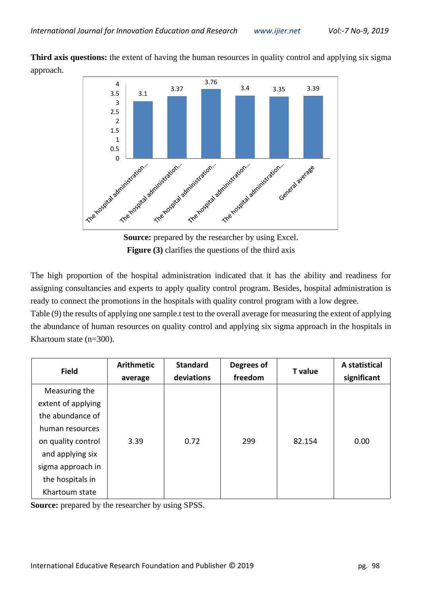**Third axis questions:** the extent of having the human resources in quality control and applying six sigma approach.



**Source:** prepared by the researcher by using Excel. **Figure (3)** clarifies the questions of the third axis

The high proportion of the hospital administration indicated that it has the ability and readiness for assigning consultancies and experts to apply quality control program. Besides, hospital administration is ready to connect the promotions in the hospitals with quality control program with a low degree.

Table (9) the results of applying one sample.t test to the overall average for measuring the extent of applying the abundance of human resources on quality control and applying six sigma approach in the hospitals in Khartoum state (n=300).

| <b>Field</b>       | <b>Arithmetic</b> | <b>Standard</b> | Degrees of | <b>T</b> value | A statistical |
|--------------------|-------------------|-----------------|------------|----------------|---------------|
|                    | average           | deviations      | freedom    |                | significant   |
| Measuring the      |                   |                 |            |                |               |
| extent of applying |                   |                 |            |                |               |
| the abundance of   |                   |                 |            |                |               |
| human resources    |                   |                 |            |                |               |
| on quality control | 3.39              | 0.72            | 299        | 82.154         | 0.00          |
| and applying six   |                   |                 |            |                |               |
| sigma approach in  |                   |                 |            |                |               |
| the hospitals in   |                   |                 |            |                |               |
| Khartoum state     |                   |                 |            |                |               |

**Source:** prepared by the researcher by using SPSS.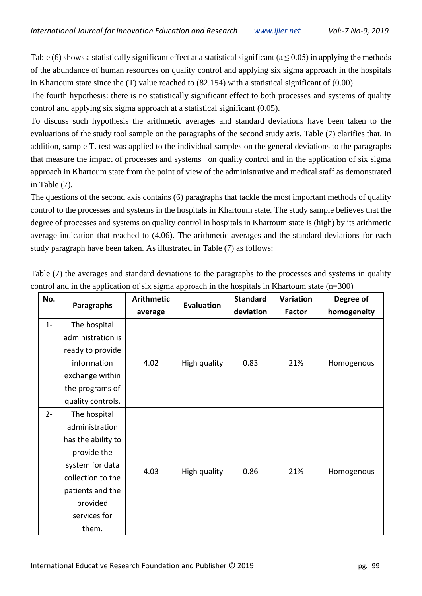Table (6) shows a statistically significant effect at a statistical significant ( $a \le 0.05$ ) in applying the methods of the abundance of human resources on quality control and applying six sigma approach in the hospitals in Khartoum state since the (T) value reached to (82.154) with a statistical significant of (0.00).

The fourth hypothesis: there is no statistically significant effect to both processes and systems of quality control and applying six sigma approach at a statistical significant (0.05).

To discuss such hypothesis the arithmetic averages and standard deviations have been taken to the evaluations of the study tool sample on the paragraphs of the second study axis. Table (7) clarifies that. In addition, sample T. test was applied to the individual samples on the general deviations to the paragraphs that measure the impact of processes and systems on quality control and in the application of six sigma approach in Khartoum state from the point of view of the administrative and medical staff as demonstrated in Table (7).

The questions of the second axis contains (6) paragraphs that tackle the most important methods of quality control to the processes and systems in the hospitals in Khartoum state. The study sample believes that the degree of processes and systems on quality control in hospitals in Khartoum state is (high) by its arithmetic average indication that reached to (4.06). The arithmetic averages and the standard deviations for each study paragraph have been taken. As illustrated in Table (7) as follows:

| No.   |                    | <b>Arithmetic</b> | . .               | <b>Standard</b> | Variation     | Degree of   |
|-------|--------------------|-------------------|-------------------|-----------------|---------------|-------------|
|       | Paragraphs         | average           | <b>Evaluation</b> | deviation       | <b>Factor</b> | homogeneity |
| $1 -$ | The hospital       |                   |                   |                 |               |             |
|       | administration is  |                   |                   |                 |               |             |
|       | ready to provide   |                   |                   |                 |               |             |
|       | information        | 4.02              | High quality      | 0.83            | 21%           | Homogenous  |
|       | exchange within    |                   |                   |                 |               |             |
|       | the programs of    |                   |                   |                 |               |             |
|       | quality controls.  |                   |                   |                 |               |             |
| $2 -$ | The hospital       |                   |                   |                 |               |             |
|       | administration     |                   |                   |                 |               |             |
|       | has the ability to |                   |                   |                 |               |             |
|       | provide the        |                   |                   |                 |               |             |
|       | system for data    | 4.03              | High quality      | 0.86            | 21%           |             |
|       | collection to the  |                   |                   |                 |               | Homogenous  |
|       | patients and the   |                   |                   |                 |               |             |
|       | provided           |                   |                   |                 |               |             |
|       | services for       |                   |                   |                 |               |             |
|       | them.              |                   |                   |                 |               |             |

Table (7) the averages and standard deviations to the paragraphs to the processes and systems in quality control and in the application of six sigma approach in the hospitals in Khartoum state  $(n=300)$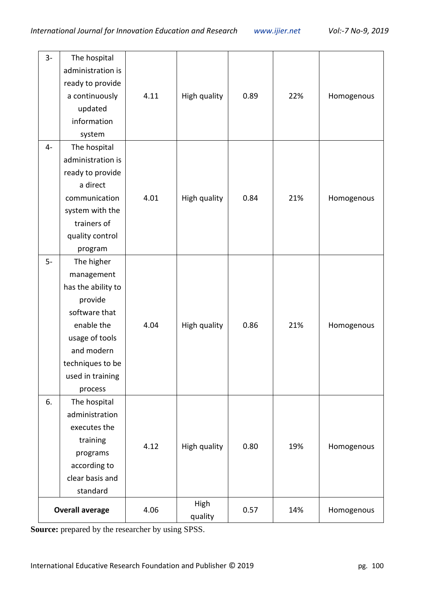| $3-$ | The hospital<br>administration is<br>ready to provide<br>a continuously<br>updated<br>information<br>system                                                                 | 4.11 | High quality    | 0.89 | 22% | Homogenous |
|------|-----------------------------------------------------------------------------------------------------------------------------------------------------------------------------|------|-----------------|------|-----|------------|
| $4-$ | The hospital<br>administration is<br>ready to provide<br>a direct<br>communication<br>system with the<br>trainers of<br>quality control<br>program                          | 4.01 | High quality    | 0.84 | 21% | Homogenous |
| $5-$ | The higher<br>management<br>has the ability to<br>provide<br>software that<br>enable the<br>usage of tools<br>and modern<br>techniques to be<br>used in training<br>process | 4.04 | High quality    | 0.86 | 21% | Homogenous |
| 6.   | The hospital<br>administration<br>executes the<br>training<br>programs<br>according to<br>clear basis and<br>standard                                                       | 4.12 | High quality    | 0.80 | 19% | Homogenous |
|      | <b>Overall average</b>                                                                                                                                                      | 4.06 | High<br>quality | 0.57 | 14% | Homogenous |

**Source:** prepared by the researcher by using SPSS.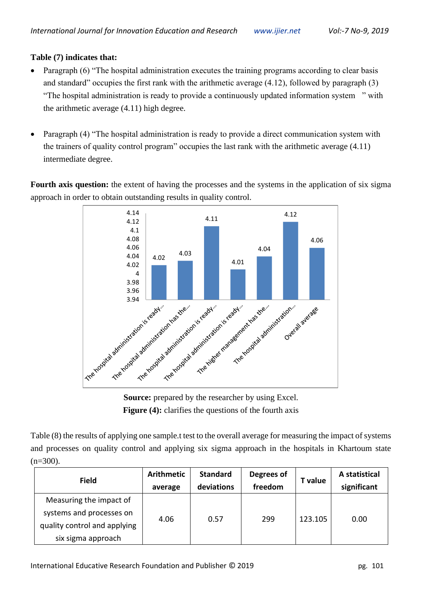#### **Table (7) indicates that:**

- Paragraph (6) "The hospital administration executes the training programs according to clear basis and standard" occupies the first rank with the arithmetic average (4.12), followed by paragraph (3) "The hospital administration is ready to provide a continuously updated information system " with the arithmetic average (4.11) high degree.
- Paragraph (4) "The hospital administration is ready to provide a direct communication system with the trainers of quality control program" occupies the last rank with the arithmetic average (4.11) intermediate degree.

**Fourth axis question:** the extent of having the processes and the systems in the application of six sigma approach in order to obtain outstanding results in quality control.



**Source:** prepared by the researcher by using Excel. **Figure (4):** clarifies the questions of the fourth axis

Table (8) the results of applying one sample.t test to the overall average for measuring the impact of systems and processes on quality control and applying six sigma approach in the hospitals in Khartoum state  $(n=300)$ .

| <b>Field</b>                                                                        | Arithmetic<br>average | <b>Standard</b><br>deviations | Degrees of<br>freedom | T value | A statistical<br>significant |
|-------------------------------------------------------------------------------------|-----------------------|-------------------------------|-----------------------|---------|------------------------------|
| Measuring the impact of<br>systems and processes on<br>quality control and applying | 4.06                  | 0.57                          | 299                   | 123.105 | 0.00                         |
| six sigma approach                                                                  |                       |                               |                       |         |                              |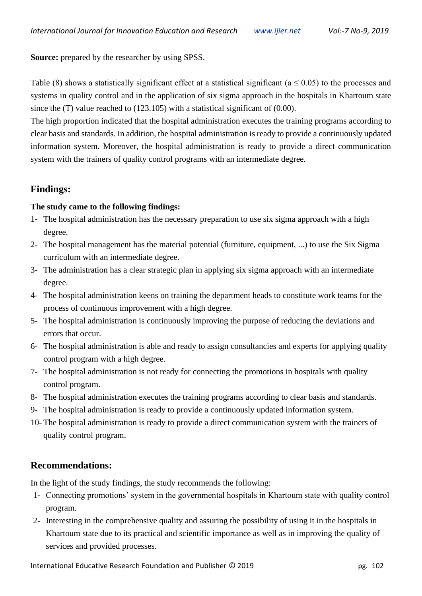**Source:** prepared by the researcher by using SPSS.

Table (8) shows a statistically significant effect at a statistical significant ( $a \le 0.05$ ) to the processes and systems in quality control and in the application of six sigma approach in the hospitals in Khartoum state since the (T) value reached to (123.105) with a statistical significant of (0.00).

The high proportion indicated that the hospital administration executes the training programs according to clear basis and standards. In addition, the hospital administration is ready to provide a continuously updated information system. Moreover, the hospital administration is ready to provide a direct communication system with the trainers of quality control programs with an intermediate degree.

# **Findings:**

#### **The study came to the following findings:**

- 1- The hospital administration has the necessary preparation to use six sigma approach with a high degree.
- 2- The hospital management has the material potential (furniture, equipment, ...) to use the Six Sigma curriculum with an intermediate degree.
- 3- The administration has a clear strategic plan in applying six sigma approach with an intermediate degree.
- 4- The hospital administration keens on training the department heads to constitute work teams for the process of continuous improvement with a high degree.
- 5- The hospital administration is continuously improving the purpose of reducing the deviations and errors that occur.
- 6- The hospital administration is able and ready to assign consultancies and experts for applying quality control program with a high degree.
- 7- The hospital administration is not ready for connecting the promotions in hospitals with quality control program.
- 8- The hospital administration executes the training programs according to clear basis and standards.
- 9- The hospital administration is ready to provide a continuously updated information system.
- 10- The hospital administration is ready to provide a direct communication system with the trainers of quality control program.

# **Recommendations:**

In the light of the study findings, the study recommends the following:

- 1- Connecting promotions' system in the governmental hospitals in Khartoum state with quality control program.
- 2- Interesting in the comprehensive quality and assuring the possibility of using it in the hospitals in Khartoum state due to its practical and scientific importance as well as in improving the quality of services and provided processes.